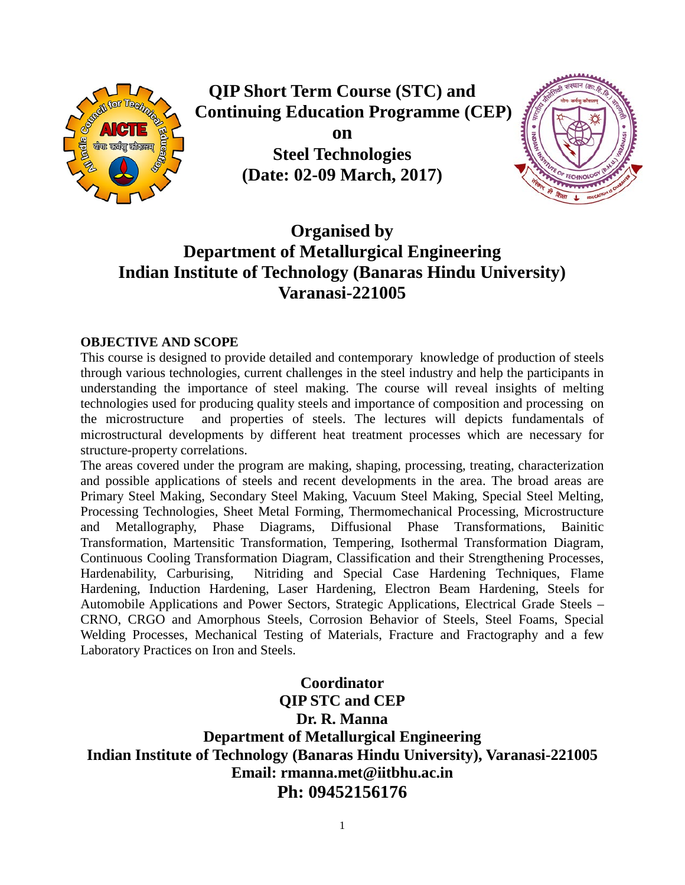

**QIP Short Term Course (STC) and Continuing Education Programme (CEP)**

> **on Steel Technologies (Date: 02-09 March, 2017)**



# **Organised by Department of Metallurgical Engineering Indian Institute of Technology (Banaras Hindu University) Varanasi-221005**

### **OBJECTIVE AND SCOPE**

This course is designed to provide detailed and contemporary knowledge of production of steels through various technologies, current challenges in the steel industry and help the participants in understanding the importance of steel making. The course will reveal insights of melting technologies used for producing quality steels and importance of composition and processing on the microstructure and properties of steels. The lectures will depicts fundamentals of microstructural developments by different heat treatment processes which are necessary for structure-property correlations.

The areas covered under the program are making, shaping, processing, treating, characterization and possible applications of steels and recent developments in the area. The broad areas are Primary Steel Making, Secondary Steel Making, Vacuum Steel Making, Special Steel Melting, Processing Technologies, Sheet Metal Forming, Thermomechanical Processing, Microstructure and Metallography, Phase Diagrams, Diffusional Phase Transformations, Bainitic Transformation, Martensitic Transformation, Tempering, Isothermal Transformation Diagram, Continuous Cooling Transformation Diagram, Classification and their Strengthening Processes, Hardenability, Carburising, Nitriding and Special Case Hardening Techniques, Flame Hardening, Induction Hardening, Laser Hardening, Electron Beam Hardening, Steels for Automobile Applications and Power Sectors, Strategic Applications, Electrical Grade Steels – CRNO, CRGO and Amorphous Steels, Corrosion Behavior of Steels, Steel Foams, Special Welding Processes, Mechanical Testing of Materials, Fracture and Fractography and a few Laboratory Practices on Iron and Steels.

**Coordinator QIP STC and CEP Dr. R. Manna Department of Metallurgical Engineering Indian Institute of Technology (Banaras Hindu University), Varanasi-221005 Email: rmanna.met@iitbhu.ac.in Ph: 09452156176**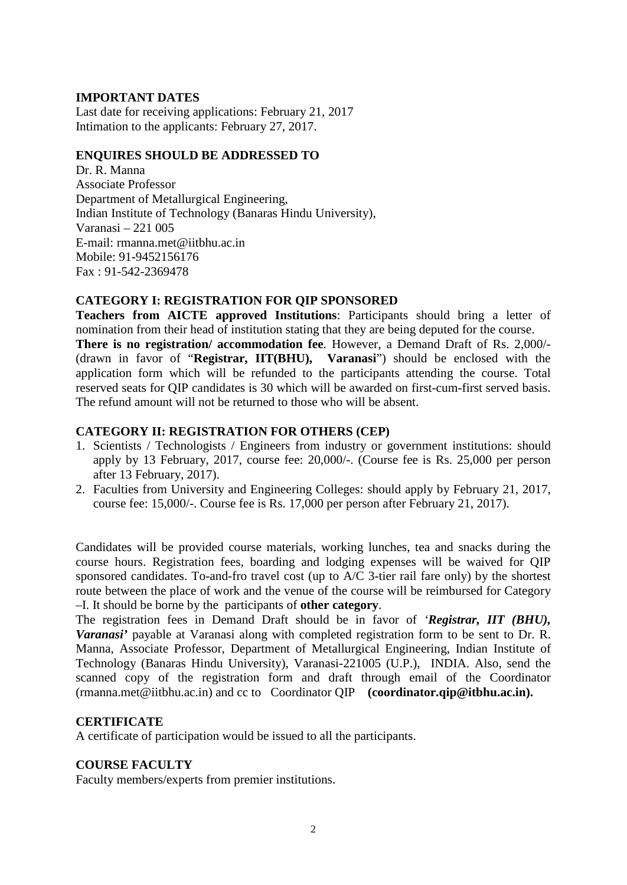## **IMPORTANT DATES**

Last date for receiving applications: February 21, 2017 Intimation to the applicants: February 27, 2017.

### **ENQUIRES SHOULD BE ADDRESSED TO**

Dr. R. Manna Associate Professor Department of Metallurgical Engineering, Indian Institute of Technology (Banaras Hindu University), Varanasi – 221 005 E-mail: rmanna.met@iitbhu.ac.in Mobile: 91-9452156176 Fax : 91-542-2369478

## **CATEGORY I: REGISTRATION FOR QIP SPONSORED**

**Teachers from AICTE approved Institutions**: Participants should bring a letter of nomination from their head of institution stating that they are being deputed for the course. **There is no registration/ accommodation fee**. However, a Demand Draft of Rs. 2,000/- (drawn in favor of "**Registrar, IIT(BHU), Varanasi**") should be enclosed with the application form which will be refunded to the participants attending the course. Total reserved seats for QIP candidates is 30 which will be awarded on first-cum-first served basis. The refund amount will not be returned to those who will be absent.

### **CATEGORY II: REGISTRATION FOR OTHERS (CEP)**

- 1. Scientists / Technologists / Engineers from industry or government institutions: should apply by 13 February, 2017, course fee: 20,000/-. (Course fee is Rs. 25,000 per person after 13 February, 2017).
- 2. Faculties from University and Engineering Colleges: should apply by February 21, 2017, course fee: 15,000/-. Course fee is Rs. 17,000 per person after February 21, 2017).

Candidates will be provided course materials, working lunches, tea and snacks during the course hours. Registration fees, boarding and lodging expenses will be waived for QIP sponsored candidates. To-and-fro travel cost (up to A/C 3-tier rail fare only) by the shortest route between the place of work and the venue of the course will be reimbursed for Category –I. It should be borne by the participants of **other category**.

The registration fees in Demand Draft should be in favor of *'Registrar, IIT (BHU), Varanasi'* payable at Varanasi along with completed registration form to be sent to Dr. R. Manna, Associate Professor, Department of Metallurgical Engineering, Indian Institute of Technology (Banaras Hindu University), Varanasi-221005 (U.P.), INDIA. Also, send the scanned copy of the registration form and draft through email of the Coordinator (rmanna.met@iitbhu.ac.in) and cc to Coordinator QIP **(coordinator.qip@itbhu.ac.in).**

#### **CERTIFICATE**

A certificate of participation would be issued to all the participants.

#### **COURSE FACULTY**

Faculty members/experts from premier institutions.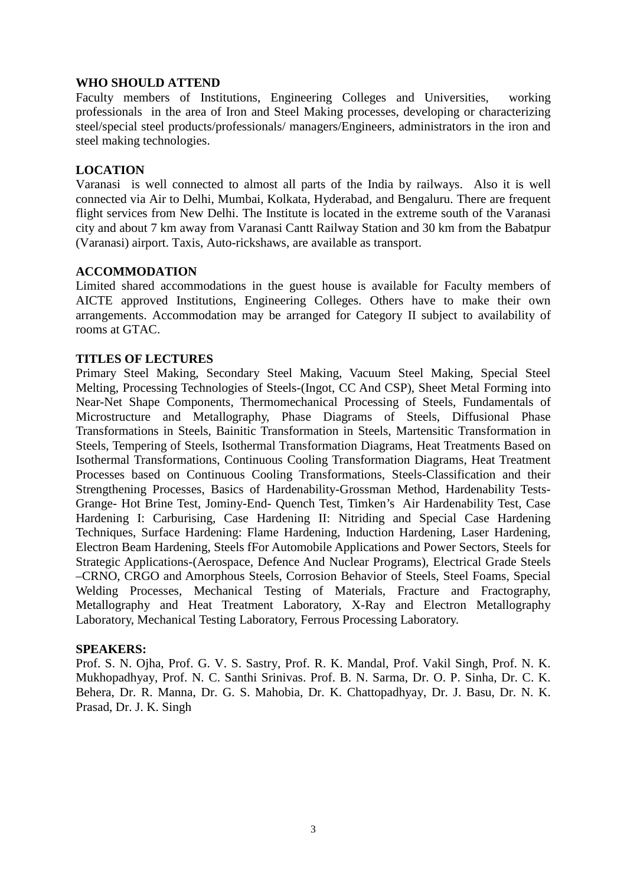#### **WHO SHOULD ATTEND**

Faculty members of Institutions, Engineering Colleges and Universities, working professionals in the area of Iron and Steel Making processes, developing or characterizing steel/special steel products/professionals/ managers/Engineers, administrators in the iron and steel making technologies.

#### **LOCATION**

Varanasi is well connected to almost all parts of the India by railways. Also it is well connected via Air to Delhi, Mumbai, Kolkata, Hyderabad, and Bengaluru. There are frequent flight services from New Delhi. The Institute is located in the extreme south of the Varanasi city and about 7 km away from Varanasi Cantt Railway Station and 30 km from the Babatpur (Varanasi) airport. Taxis, Auto-rickshaws, are available as transport.

## **ACCOMMODATION**

Limited shared accommodations in the guest house is available for Faculty members of AICTE approved Institutions, Engineering Colleges. Others have to make their own arrangements. Accommodation may be arranged for Category II subject to availability of rooms at GTAC.

### **TITLES OF LECTURES**

Primary Steel Making, Secondary Steel Making, Vacuum Steel Making, Special Steel Melting, Processing Technologies of Steels-(Ingot, CC And CSP), Sheet Metal Forming into Near-Net Shape Components, Thermomechanical Processing of Steels, Fundamentals of Microstructure and Metallography, Phase Diagrams of Steels, Diffusional Phase Transformations in Steels, Bainitic Transformation in Steels, Martensitic Transformation in Steels, Tempering of Steels, Isothermal Transformation Diagrams, Heat Treatments Based on Isothermal Transformations, Continuous Cooling Transformation Diagrams, Heat Treatment Processes based on Continuous Cooling Transformations, Steels-Classification and their Strengthening Processes, Basics of Hardenability-Grossman Method, Hardenability Tests-Grange- Hot Brine Test, Jominy-End- Quench Test, Timken's Air Hardenability Test, Case Hardening I: Carburising, Case Hardening II: Nitriding and Special Case Hardening Techniques, Surface Hardening: Flame Hardening, Induction Hardening, Laser Hardening, Electron Beam Hardening, Steels fFor Automobile Applications and Power Sectors, Steels for Strategic Applications-(Aerospace, Defence And Nuclear Programs), Electrical Grade Steels –CRNO, CRGO and Amorphous Steels, Corrosion Behavior of Steels, Steel Foams, Special Welding Processes, Mechanical Testing of Materials, Fracture and Fractography, Metallography and Heat Treatment Laboratory, X-Ray and Electron Metallography Laboratory, Mechanical Testing Laboratory, Ferrous Processing Laboratory.

#### **SPEAKERS:**

Prof. S. N. Ojha, Prof. G. V. S. Sastry, Prof. R. K. Mandal, Prof. Vakil Singh, Prof. N. K. Mukhopadhyay, Prof. N. C. Santhi Srinivas. Prof. B. N. Sarma, Dr. O. P. Sinha, Dr. C. K. Behera, Dr. R. Manna, Dr. G. S. Mahobia, Dr. K. Chattopadhyay, Dr. J. Basu, Dr. N. K. Prasad, Dr. J. K. Singh